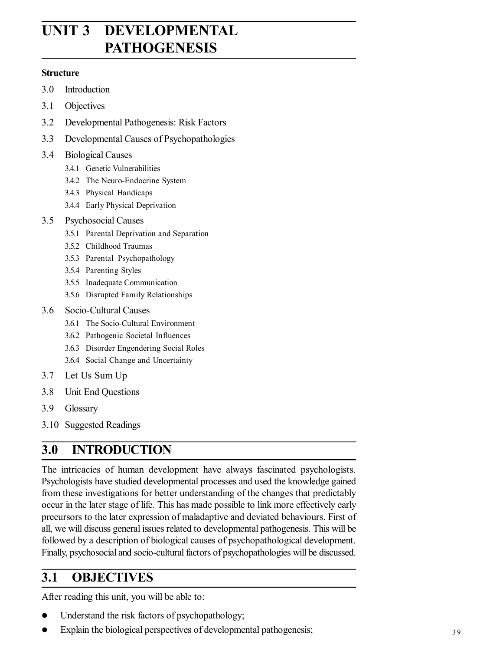# **UNIT 3 DEVELOPMENTAL PATHOGENESIS**

#### **Structure**

- 3.0 Introduction
- 3.1 Objectives
- 3.2 Developmental Pathogenesis: Risk Factors
- 3.3 Developmental Causes of Psychopathologies
- 3.4 Biological Causes
	- 3.4.1 Genetic Vulnerabilities
	- 3.4.2 The Neuro-Endocrine System
	- 3.4.3 Physical Handicaps
	- 3.4.4 Early Physical Deprivation
- 3.5 Psychosocial Causes
	- 3.5.1 Parental Deprivation and Separation
	- 3.5.2 Childhood Traumas
	- 3.5.3 Parental Psychopathology
	- 3.5.4 Parenting Styles
	- 3.5.5 Inadequate Communication
	- 3.5.6 Disrupted Family Relationships
- 3.6 Socio-Cultural Causes
	- 3.6.1 The Socio-Cultural Environment
	- 3.6.2 Pathogenic Societal Influences
	- 3.6.3 Disorder Engendering Social Roles
	- 3.6.4 Social Change and Uncertainty
- 3.7 Let Us Sum Up
- 3.8 Unit End Questions
- 3.9 Glossary
- 3.10 Suggested Readings

## **3.0 INTRODUCTION**

The intricacies of human development have always fascinated psychologists. Psychologists have studied developmental processes and used the knowledge gained from these investigations for better understanding of the changes that predictably occur in the later stage of life. This has made possible to link more effectively early precursors to the later expression of maladaptive and deviated behaviours. First of all, we will discuss general issues related to developmental pathogenesis. This will be followed by a description of biological causes of psychopathological development. Finally, psychosocial and socio-cultural factors of psychopathologies will be discussed.

## **3.1 OBJECTIVES**

After reading this unit, you will be able to:

- Understand the risk factors of psychopathology;
- Explain the biological perspectives of developmental pathogenesis;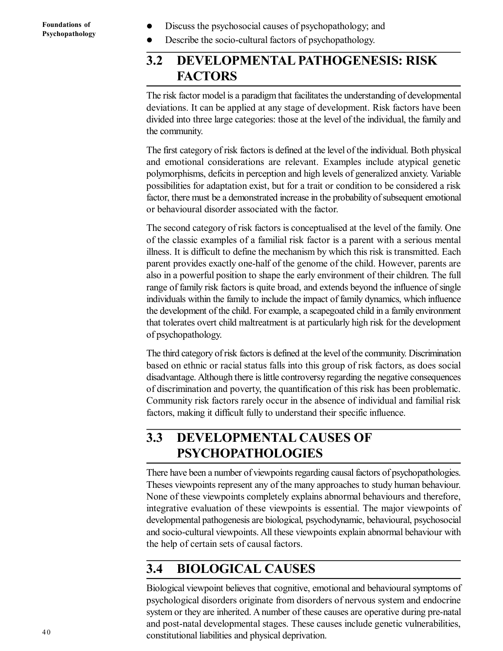- Discuss the psychosocial causes of psychopathology; and
- Describe the socio-cultural factors of psychopathology.

## **3.2 DEVELOPMENTAL PATHOGENESIS: RISK FACTORS**

The risk factor model is a paradigm that facilitates the understanding of developmental deviations. It can be applied at any stage of development. Risk factors have been divided into three large categories: those at the level of the individual, the family and the community.

The first category of risk factors is defined at the level of the individual. Both physical and emotional considerations are relevant. Examples include atypical genetic polymorphisms, deficits in perception and high levels of generalized anxiety. Variable possibilities for adaptation exist, but for a trait or condition to be considered a risk factor, there must be a demonstrated increase in the probability of subsequent emotional or behavioural disorder associated with the factor.

The second category of risk factors is conceptualised at the level of the family. One of the classic examples of a familial risk factor is a parent with a serious mental illness. It is difficult to define the mechanism by which this risk is transmitted. Each parent provides exactly one-half of the genome of the child. However, parents are also in a powerful position to shape the early environment of their children. The full range of family risk factors is quite broad, and extends beyond the influence of single individuals within the family to include the impact of family dynamics, which influence the development of the child. For example, a scapegoated child in a family environment that tolerates overt child maltreatment is at particularly high risk for the development of psychopathology.

The third category of risk factors is defined at the level of the community. Discrimination based on ethnic or racial status falls into this group of risk factors, as does social disadvantage. Although there is little controversy regarding the negative consequences of discrimination and poverty, the quantification of this risk has been problematic. Community risk factors rarely occur in the absence of individual and familial risk factors, making it difficult fully to understand their specific influence.

## **3.3 DEVELOPMENTAL CAUSES OF PSYCHOPATHOLOGIES**

There have been a number of viewpoints regarding causal factors of psychopathologies. Theses viewpoints represent any of the many approaches to study human behaviour. None of these viewpoints completely explains abnormal behaviours and therefore, integrative evaluation of these viewpoints is essential. The major viewpoints of developmental pathogenesis are biological, psychodynamic, behavioural, psychosocial and socio-cultural viewpoints. All these viewpoints explain abnormal behaviour with the help of certain sets of causal factors.

## **3.4 BIOLOGICAL CAUSES**

Biological viewpoint believes that cognitive, emotional and behavioural symptoms of psychological disorders originate from disorders of nervous system and endocrine system or they are inherited. A number of these causes are operative during pre-natal and post-natal developmental stages. These causes include genetic vulnerabilities, constitutional liabilities and physical deprivation.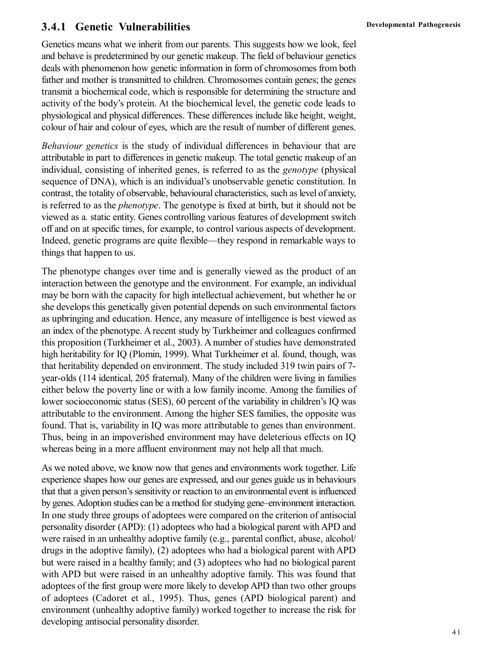### **3.4.1 Genetic Vulnerabilities**

Genetics means what we inherit from our parents. This suggests how we look, feel and behave is predetermined by our genetic makeup. The field of behaviour genetics deals with phenomenon how genetic information in form of chromosomes from both father and mother is transmitted to children. Chromosomes contain genes; the genes transmit a biochemical code, which is responsible for determining the structure and activity of the body's protein. At the biochemical level, the genetic code leads to physiological and physical differences. These differences include like height, weight, colour of hair and colour of eyes, which are the result of number of different genes.

*Behaviour genetics* is the study of individual differences in behaviour that are attributable in part to differences in genetic makeup. The total genetic makeup of an individual, consisting of inherited genes, is referred to as the *genotype* (physical sequence of DNA), which is an individual's unobservable genetic constitution. In contrast, the totality of observable, behavioural characteristics, such as level of anxiety, is referred to as the *phenotype*. The genotype is fixed at birth, but it should not be viewed as a*.* static entity. Genes controlling various features of development switch off and on at specific times, for example, to control various aspects of development. Indeed, genetic programs are quite flexible—they respond in remarkable ways to things that happen to us.

The phenotype changes over time and is generally viewed as the product of an interaction between the genotype and the environment. For example, an individual may be born with the capacity for high intellectual achievement, but whether he or she develops this genetically given potential depends on such environmental factors as upbringing and education. Hence, any measure of intelligence is best viewed as an index of the phenotype. A recent study by Turkheimer and colleagues confirmed this proposition (Turkheimer et al., 2003). A number of studies have demonstrated high heritability for IQ (Plomin, 1999). What Turkheimer et al. found, though, was that heritability depended on environment. The study included 319 twin pairs of 7 year-olds (114 identical, 205 fraternal). Many of the children were living in families either below the poverty line or with a low family income. Among the families of lower socioeconomic status (SES), 60 percent of the variability in children's IQ was attributable to the environment. Among the higher SES families, the opposite was found. That is, variability in IQ was more attributable to genes than environment. Thus, being in an impoverished environment may have deleterious effects on IQ whereas being in a more affluent environment may not help all that much.

As we noted above, we know now that genes and environments work together. Life experience shapes how our genes are expressed, and our genes guide us in behaviours that that a given person's sensitivity or reaction to an environmental event is influenced by genes. Adoption studies can be a method for studying gene–environment interaction. In one study three groups of adoptees were compared on the criterion of antisocial personality disorder (APD): (1) adoptees who had a biological parent with APD and were raised in an unhealthy adoptive family (e.g., parental conflict, abuse, alcohol/ drugs in the adoptive family), (2) adoptees who had a biological parent with APD but were raised in a healthy family; and (3) adoptees who had no biological parent with APD but were raised in an unhealthy adoptive family. This was found that adoptees of the first group were more likely to develop APD than two other groups of adoptees (Cadoret et al., 1995). Thus, genes (APD biological parent) and environment (unhealthy adoptive family) worked together to increase the risk for developing antisocial personality disorder.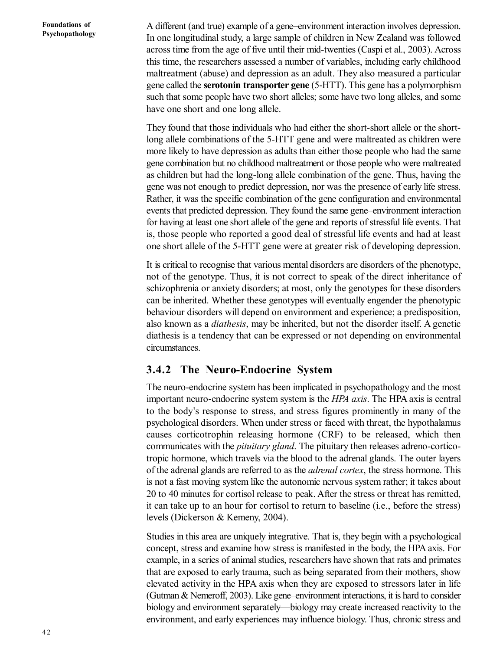A different (and true) example of a gene–environment interaction involves depression. In one longitudinal study, a large sample of children in New Zealand was followed across time from the age of five until their mid-twenties (Caspi et al., 2003). Across this time, the researchers assessed a number of variables, including early childhood maltreatment (abuse) and depression as an adult. They also measured a particular gene called the **serotonin transporter gene** (5-HTT). This gene has a polymorphism such that some people have two short alleles; some have two long alleles, and some have one short and one long allele.

They found that those individuals who had either the short-short allele or the shortlong allele combinations of the 5-HTT gene and were maltreated as children were more likely to have depression as adults than either those people who had the same gene combination but no childhood maltreatment or those people who were maltreated as children but had the long-long allele combination of the gene. Thus, having the gene was not enough to predict depression, nor was the presence of early life stress. Rather, it was the specific combination of the gene configuration and environmental events that predicted depression. They found the same gene–environment interaction for having at least one short allele of the gene and reports of stressful life events. That is, those people who reported a good deal of stressful life events and had at least one short allele of the 5-HTT gene were at greater risk of developing depression.

It is critical to recognise that various mental disorders are disorders of the phenotype, not of the genotype. Thus, it is not correct to speak of the direct inheritance of schizophrenia or anxiety disorders; at most, only the genotypes for these disorders can be inherited. Whether these genotypes will eventually engender the phenotypic behaviour disorders will depend on environment and experience; a predisposition, also known as a *diathesis*, may be inherited, but not the disorder itself. A genetic diathesis is a tendency that can be expressed or not depending on environmental circumstances.

#### **3.4.2 The Neuro-Endocrine System**

The neuro-endocrine system has been implicated in psychopathology and the most important neuro-endocrine system system is the *HPA axis*. The HPA axis is central to the body's response to stress, and stress figures prominently in many of the psychological disorders. When under stress or faced with threat, the hypothalamus causes corticotrophin releasing hormone (CRF) to be released, which then communicates with the *pituitary gland*. The pituitary then releases adreno-corticotropic hormone, which travels via the blood to the adrenal glands. The outer layers of the adrenal glands are referred to as the *adrenal cortex*, the stress hormone. This is not a fast moving system like the autonomic nervous system rather; it takes about 20 to 40 minutes for cortisol release to peak. After the stress or threat has remitted, it can take up to an hour for cortisol to return to baseline (i.e., before the stress) levels (Dickerson & Kemeny, 2004).

Studies in this area are uniquely integrative. That is, they begin with a psychological concept, stress and examine how stress is manifested in the body, the HPA axis. For example, in a series of animal studies, researchers have shown that rats and primates that are exposed to early trauma, such as being separated from their mothers, show elevated activity in the HPA axis when they are exposed to stressors later in life (Gutman & Nemeroff, 2003). Like gene–environment interactions, it is hard to consider biology and environment separately—biology may create increased reactivity to the environment, and early experiences may influence biology. Thus, chronic stress and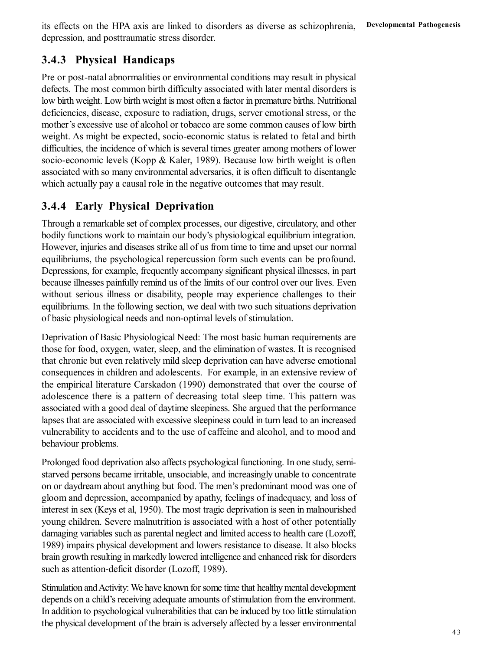its effects on the HPA axis are linked to disorders as diverse as schizophrenia, depression, and posttraumatic stress disorder.

### **3.4.3 Physical Handicaps**

Pre or post-natal abnormalities or environmental conditions may result in physical defects. The most common birth difficulty associated with later mental disorders is low birth weight. Low birth weight is most often a factor in premature births. Nutritional deficiencies, disease, exposure to radiation, drugs, server emotional stress, or the mother's excessive use of alcohol or tobacco are some common causes of low birth weight. As might be expected, socio-economic status is related to fetal and birth difficulties, the incidence of which is several times greater among mothers of lower socio-economic levels (Kopp & Kaler, 1989). Because low birth weight is often associated with so many environmental adversaries, it is often difficult to disentangle which actually pay a causal role in the negative outcomes that may result.

### **3.4.4 Early Physical Deprivation**

Through a remarkable set of complex processes, our digestive, circulatory, and other bodily functions work to maintain our body's physiological equilibrium integration. However, injuries and diseases strike all of us from time to time and upset our normal equilibriums, the psychological repercussion form such events can be profound. Depressions, for example, frequently accompany significant physical illnesses, in part because illnesses painfully remind us of the limits of our control over our lives. Even without serious illness or disability, people may experience challenges to their equilibriums. In the following section, we deal with two such situations deprivation of basic physiological needs and non-optimal levels of stimulation.

Deprivation of Basic Physiological Need: The most basic human requirements are those for food, oxygen, water, sleep, and the elimination of wastes. It is recognised that chronic but even relatively mild sleep deprivation can have adverse emotional consequences in children and adolescents. For example, in an extensive review of the empirical literature Carskadon (1990) demonstrated that over the course of adolescence there is a pattern of decreasing total sleep time. This pattern was associated with a good deal of daytime sleepiness. She argued that the performance lapses that are associated with excessive sleepiness could in turn lead to an increased vulnerability to accidents and to the use of caffeine and alcohol, and to mood and behaviour problems.

Prolonged food deprivation also affects psychological functioning. In one study, semistarved persons became irritable, unsociable, and increasingly unable to concentrate on or daydream about anything but food. The men's predominant mood was one of gloom and depression, accompanied by apathy, feelings of inadequacy, and loss of interest in sex (Keys et al, 1950). The most tragic deprivation is seen in malnourished young children. Severe malnutrition is associated with a host of other potentially damaging variables such as parental neglect and limited access to health care (Lozoff, 1989) impairs physical development and lowers resistance to disease. It also blocks brain growth resulting in markedly lowered intelligence and enhanced risk for disorders such as attention-deficit disorder (Lozoff, 1989).

Stimulation and Activity: We have known for some time that healthy mental development depends on a child's receiving adequate amounts of stimulation from the environment. In addition to psychological vulnerabilities that can be induced by too little stimulation the physical development of the brain is adversely affected by a lesser environmental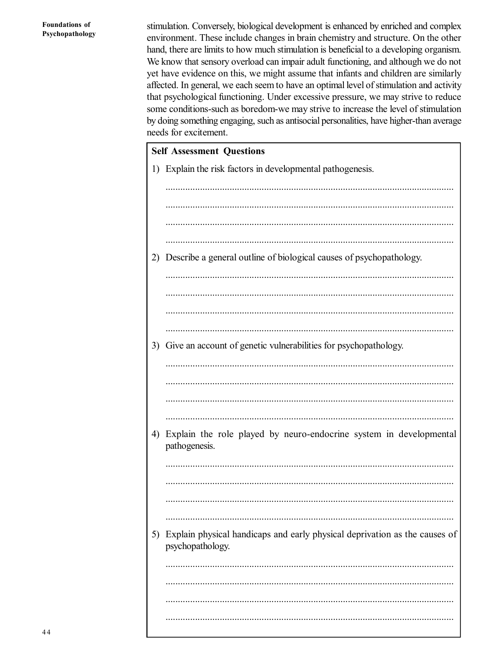stimulation. Conversely, biological development is enhanced by enriched and complex environment. These include changes in brain chemistry and structure. On the other hand, there are limits to how much stimulation is beneficial to a developing organism. We know that sensory overload can impair adult functioning, and although we do not yet have evidence on this, we might assume that infants and children are similarly affected. In general, we each seem to have an optimal level of stimulation and activity that psychological functioning. Under excessive pressure, we may strive to reduce some conditions-such as boredom-we may strive to increase the level of stimulation by doing something engaging, such as antisocial personalities, have higher-than average needs for excitement.

| <b>Self Assessment Questions</b> |                                                                                                |  |  |  |
|----------------------------------|------------------------------------------------------------------------------------------------|--|--|--|
| 1)                               | Explain the risk factors in developmental pathogenesis.                                        |  |  |  |
|                                  |                                                                                                |  |  |  |
|                                  |                                                                                                |  |  |  |
|                                  |                                                                                                |  |  |  |
|                                  |                                                                                                |  |  |  |
| 2)                               | Describe a general outline of biological causes of psychopathology.                            |  |  |  |
|                                  |                                                                                                |  |  |  |
|                                  |                                                                                                |  |  |  |
|                                  |                                                                                                |  |  |  |
|                                  |                                                                                                |  |  |  |
| 3)                               | Give an account of genetic vulnerabilities for psychopathology.                                |  |  |  |
|                                  |                                                                                                |  |  |  |
|                                  |                                                                                                |  |  |  |
|                                  |                                                                                                |  |  |  |
|                                  |                                                                                                |  |  |  |
| 4)                               | Explain the role played by neuro-endocrine system in developmental<br>pathogenesis.            |  |  |  |
|                                  |                                                                                                |  |  |  |
|                                  |                                                                                                |  |  |  |
|                                  |                                                                                                |  |  |  |
|                                  |                                                                                                |  |  |  |
| 5)                               | Explain physical handicaps and early physical deprivation as the causes of<br>psychopathology. |  |  |  |
|                                  |                                                                                                |  |  |  |
|                                  |                                                                                                |  |  |  |
|                                  |                                                                                                |  |  |  |
|                                  |                                                                                                |  |  |  |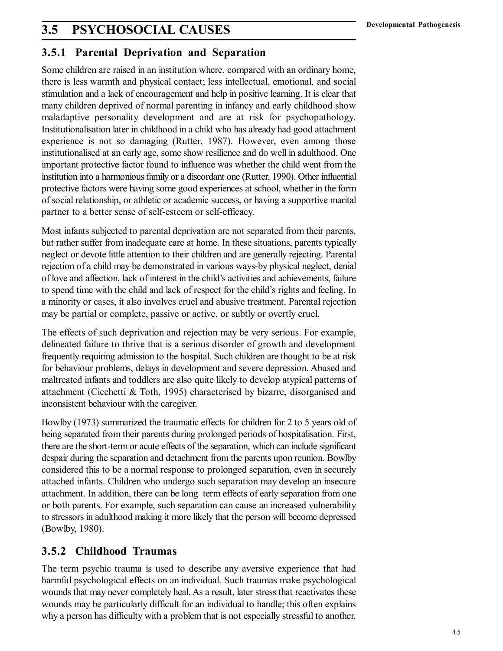### **3.5 PSYCHOSOCIAL CAUSES**

#### **3.5.1 Parental Deprivation and Separation**

Some children are raised in an institution where, compared with an ordinary home, there is less warmth and physical contact; less intellectual, emotional, and social stimulation and a lack of encouragement and help in positive learning. It is clear that many children deprived of normal parenting in infancy and early childhood show maladaptive personality development and are at risk for psychopathology. Institutionalisation later in childhood in a child who has already had good attachment experience is not so damaging (Rutter, 1987). However, even among those institutionalised at an early age, some show resilience and do well in adulthood. One important protective factor found to influence was whether the child went from the institution into a harmonious family or a discordant one (Rutter, 1990). Other influential protective factors were having some good experiences at school, whether in the form of social relationship, or athletic or academic success, or having a supportive marital partner to a better sense of self-esteem or self-efficacy.

Most infants subjected to parental deprivation are not separated from their parents, but rather suffer from inadequate care at home. In these situations, parents typically neglect or devote little attention to their children and are generally rejecting. Parental rejection of a child may be demonstrated in various ways-by physical neglect, denial of love and affection, lack of interest in the child's activities and achievements, failure to spend time with the child and lack of respect for the child's rights and feeling. In a minority or cases, it also involves cruel and abusive treatment. Parental rejection may be partial or complete, passive or active, or subtly or overtly cruel.

The effects of such deprivation and rejection may be very serious. For example, delineated failure to thrive that is a serious disorder of growth and development frequently requiring admission to the hospital. Such children are thought to be at risk for behaviour problems, delays in development and severe depression. Abused and maltreated infants and toddlers are also quite likely to develop atypical patterns of attachment (Cicchetti & Toth, 1995) characterised by bizarre, disorganised and inconsistent behaviour with the caregiver.

Bowlby (1973) summarized the traumatic effects for children for 2 to 5 years old of being separated from their parents during prolonged periods of hospitalisation. First, there are the short-term or acute effects of the separation, which can include significant despair during the separation and detachment from the parents upon reunion. Bowlby considered this to be a normal response to prolonged separation, even in securely attached infants. Children who undergo such separation may develop an insecure attachment. In addition, there can be long–term effects of early separation from one or both parents. For example, such separation can cause an increased vulnerability to stressors in adulthood making it more likely that the person will become depressed (Bowlby, 1980).

#### **3.5.2 Childhood Traumas**

The term psychic trauma is used to describe any aversive experience that had harmful psychological effects on an individual. Such traumas make psychological wounds that may never completely heal. As a result, later stress that reactivates these wounds may be particularly difficult for an individual to handle; this often explains why a person has difficulty with a problem that is not especially stressful to another.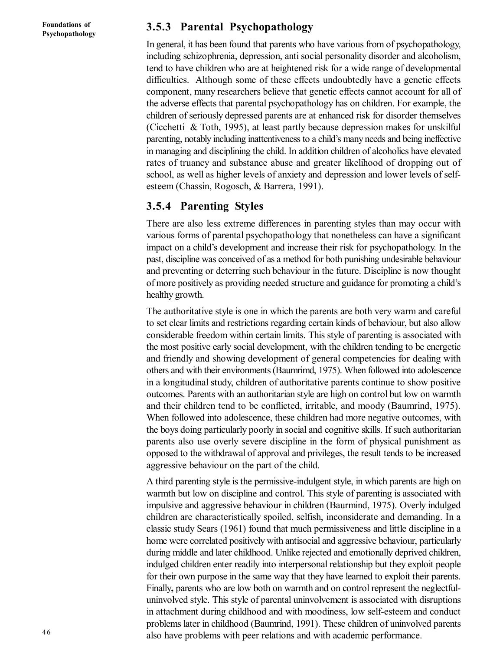#### **3.5.3 Parental Psychopathology**

In general, it has been found that parents who have various from of psychopathology, including schizophrenia, depression, anti social personality disorder and alcoholism, tend to have children who are at heightened risk for a wide range of developmental difficulties. Although some of these effects undoubtedly have a genetic effects component, many researchers believe that genetic effects cannot account for all of the adverse effects that parental psychopathology has on children. For example, the children of seriously depressed parents are at enhanced risk for disorder themselves (Cicchetti & Toth, 1995), at least partly because depression makes for unskilful parenting, notably including inattentiveness to a child's many needs and being ineffective in managing and disciplining the child. In addition children of alcoholics have elevated rates of truancy and substance abuse and greater likelihood of dropping out of school, as well as higher levels of anxiety and depression and lower levels of selfesteem (Chassin, Rogosch, & Barrera, 1991).

#### **3.5.4 Parenting Styles**

There are also less extreme differences in parenting styles than may occur with various forms of parental psychopathology that nonetheless can have a significant impact on a child's development and increase their risk for psychopathology. In the past, discipline was conceived of as a method for both punishing undesirable behaviour and preventing or deterring such behaviour in the future. Discipline is now thought of more positively as providing needed structure and guidance for promoting a child's healthy growth.

The authoritative style is one in which the parents are both very warm and careful to set clear limits and restrictions regarding certain kinds of behaviour, but also allow considerable freedom within certain limits. This style of parenting is associated with the most positive early social development, with the children tending to be energetic and friendly and showing development of general competencies for dealing with others and with their environments (Baumrimd, 1975). When followed into adolescence in a longitudinal study, children of authoritative parents continue to show positive outcomes. Parents with an authoritarian style are high on control but low on warmth and their children tend to be conflicted, irritable, and moody (Baumrind, 1975). When followed into adolescence, these children had more negative outcomes, with the boys doing particularly poorly in social and cognitive skills. If such authoritarian parents also use overly severe discipline in the form of physical punishment as opposed to the withdrawal of approval and privileges, the result tends to be increased aggressive behaviour on the part of the child.

A third parenting style is the permissive-indulgent style, in which parents are high on warmth but low on discipline and control. This style of parenting is associated with impulsive and aggressive behaviour in children (Baurmind, 1975). Overly indulged children are characteristically spoiled, selfish, inconsiderate and demanding. In a classic study Sears (1961) found that much permissiveness and little discipline in a home were correlated positively with antisocial and aggressive behaviour, particularly during middle and later childhood. Unlike rejected and emotionally deprived children, indulged children enter readily into interpersonal relationship but they exploit people for their own purpose in the same way that they have learned to exploit their parents. Finally**,** parents who are low both on warmth and on control represent the neglectfuluninvolved style. This style of parental uninvolvement is associated with disruptions in attachment during childhood and with moodiness, low self-esteem and conduct problems later in childhood (Baumrind, 1991). These children of uninvolved parents also have problems with peer relations and with academic performance.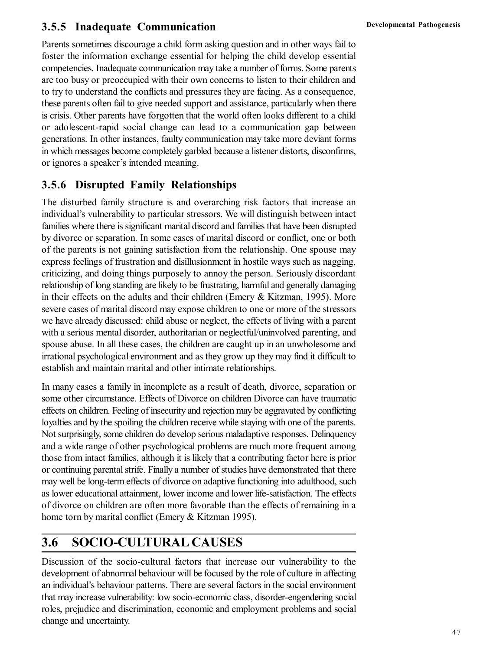### **3.5.5 Inadequate Communication**

Parents sometimes discourage a child form asking question and in other ways fail to foster the information exchange essential for helping the child develop essential competencies. Inadequate communication may take a number of forms. Some parents are too busy or preoccupied with their own concerns to listen to their children and to try to understand the conflicts and pressures they are facing. As a consequence, these parents often fail to give needed support and assistance, particularly when there is crisis. Other parents have forgotten that the world often looks different to a child or adolescent-rapid social change can lead to a communication gap between generations. In other instances, faulty communication may take more deviant forms in which messages become completely garbled because a listener distorts, disconfirms, or ignores a speaker's intended meaning.

### **3.5.6 Disrupted Family Relationships**

The disturbed family structure is and overarching risk factors that increase an individual's vulnerability to particular stressors. We will distinguish between intact families where there is significant marital discord and families that have been disrupted by divorce or separation. In some cases of marital discord or conflict, one or both of the parents is not gaining satisfaction from the relationship. One spouse may express feelings of frustration and disillusionment in hostile ways such as nagging, criticizing, and doing things purposely to annoy the person. Seriously discordant relationship of long standing are likely to be frustrating, harmful and generally damaging in their effects on the adults and their children (Emery & Kitzman, 1995). More severe cases of marital discord may expose children to one or more of the stressors we have already discussed: child abuse or neglect, the effects of living with a parent with a serious mental disorder, authoritarian or neglectful/uninvolved parenting, and spouse abuse. In all these cases, the children are caught up in an unwholesome and irrational psychological environment and as they grow up they may find it difficult to establish and maintain marital and other intimate relationships.

In many cases a family in incomplete as a result of death, divorce, separation or some other circumstance. Effects of Divorce on children Divorce can have traumatic effects on children. Feeling of insecurity and rejection may be aggravated by conflicting loyalties and by the spoiling the children receive while staying with one of the parents. Not surprisingly, some children do develop serious maladaptive responses. Delinquency and a wide range of other psychological problems are much more frequent among those from intact families, although it is likely that a contributing factor here is prior or continuing parental strife. Finally a number of studies have demonstrated that there may well be long-term effects of divorce on adaptive functioning into adulthood, such as lower educational attainment, lower income and lower life-satisfaction. The effects of divorce on children are often more favorable than the effects of remaining in a home torn by marital conflict (Emery & Kitzman 1995).

## **3.6 SOCIO-CULTURAL CAUSES**

Discussion of the socio-cultural factors that increase our vulnerability to the development of abnormal behaviour will be focused by the role of culture in affecting an individual's behaviour patterns. There are several factors in the social environment that may increase vulnerability: low socio-economic class, disorder-engendering social roles, prejudice and discrimination, economic and employment problems and social change and uncertainty.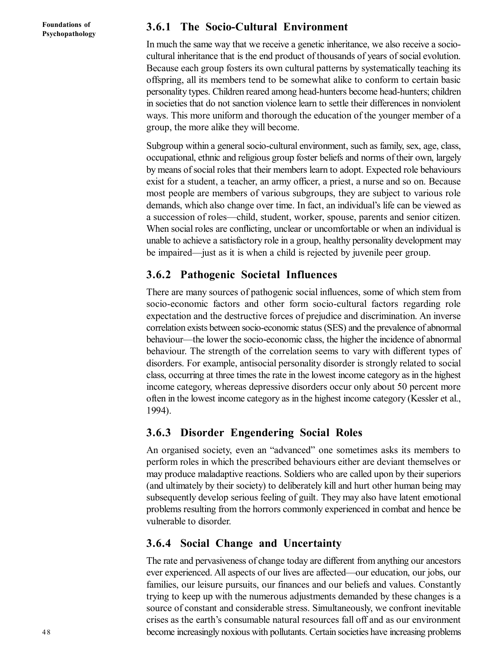#### **3.6.1 The Socio-Cultural Environment**

In much the same way that we receive a genetic inheritance, we also receive a sociocultural inheritance that is the end product of thousands of years of social evolution. Because each group fosters its own cultural patterns by systematically teaching its offspring, all its members tend to be somewhat alike to conform to certain basic personality types. Children reared among head-hunters become head-hunters; children in societies that do not sanction violence learn to settle their differences in nonviolent ways. This more uniform and thorough the education of the younger member of a group, the more alike they will become.

Subgroup within a general socio-cultural environment, such as family, sex, age, class, occupational, ethnic and religious group foster beliefs and norms of their own, largely by means of social roles that their members learn to adopt. Expected role behaviours exist for a student, a teacher, an army officer, a priest, a nurse and so on. Because most people are members of various subgroups, they are subject to various role demands, which also change over time. In fact, an individual's life can be viewed as a succession of roles—child, student, worker, spouse, parents and senior citizen. When social roles are conflicting, unclear or uncomfortable or when an individual is unable to achieve a satisfactory role in a group, healthy personality development may be impaired—just as it is when a child is rejected by juvenile peer group.

#### **3.6.2 Pathogenic Societal Influences**

There are many sources of pathogenic social influences, some of which stem from socio-economic factors and other form socio-cultural factors regarding role expectation and the destructive forces of prejudice and discrimination. An inverse correlation exists between socio-economic status (SES) and the prevalence of abnormal behaviour—the lower the socio-economic class, the higher the incidence of abnormal behaviour. The strength of the correlation seems to vary with different types of disorders. For example, antisocial personality disorder is strongly related to social class, occurring at three times the rate in the lowest income category as in the highest income category, whereas depressive disorders occur only about 50 percent more often in the lowest income category as in the highest income category (Kessler et al., 1994).

#### **3.6.3 Disorder Engendering Social Roles**

An organised society, even an "advanced" one sometimes asks its members to perform roles in which the prescribed behaviours either are deviant themselves or may produce maladaptive reactions. Soldiers who are called upon by their superiors (and ultimately by their society) to deliberately kill and hurt other human being may subsequently develop serious feeling of guilt. They may also have latent emotional problems resulting from the horrors commonly experienced in combat and hence be vulnerable to disorder.

#### **3.6.4 Social Change and Uncertainty**

The rate and pervasiveness of change today are different from anything our ancestors ever experienced. All aspects of our lives are affected—our education, our jobs, our families, our leisure pursuits, our finances and our beliefs and values. Constantly trying to keep up with the numerous adjustments demanded by these changes is a source of constant and considerable stress. Simultaneously, we confront inevitable crises as the earth's consumable natural resources fall off and as our environment become increasingly noxious with pollutants. Certain societies have increasing problems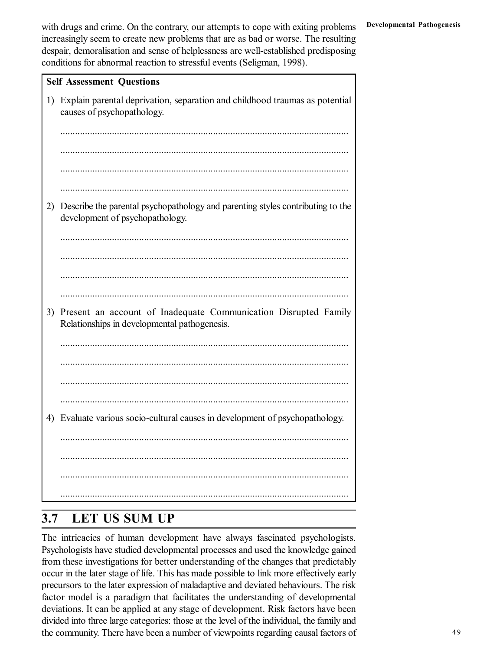with drugs and crime. On the contrary, our attempts to cope with exiting problems increasingly seem to create new problems that are as bad or worse. The resulting despair, demoralisation and sense of helplessness are well-established predisposing conditions for abnormal reaction to stressful events (Seligman, 1998).

| <b>Self Assessment Questions</b> |                                                                                                                   |  |  |
|----------------------------------|-------------------------------------------------------------------------------------------------------------------|--|--|
| 1)                               | Explain parental deprivation, separation and childhood traumas as potential<br>causes of psychopathology.         |  |  |
|                                  |                                                                                                                   |  |  |
|                                  |                                                                                                                   |  |  |
|                                  |                                                                                                                   |  |  |
| 2)                               | Describe the parental psychopathology and parenting styles contributing to the<br>development of psychopathology. |  |  |
|                                  |                                                                                                                   |  |  |
|                                  |                                                                                                                   |  |  |
|                                  |                                                                                                                   |  |  |
| 3)                               | Present an account of Inadequate Communication Disrupted Family<br>Relationships in developmental pathogenesis.   |  |  |
|                                  |                                                                                                                   |  |  |
|                                  |                                                                                                                   |  |  |
|                                  |                                                                                                                   |  |  |
| 4)                               | Evaluate various socio-cultural causes in development of psychopathology.                                         |  |  |
|                                  |                                                                                                                   |  |  |
|                                  |                                                                                                                   |  |  |
|                                  |                                                                                                                   |  |  |
|                                  |                                                                                                                   |  |  |

# **3.7 LET US SUM UP**

The intricacies of human development have always fascinated psychologists. Psychologists have studied developmental processes and used the knowledge gained from these investigations for better understanding of the changes that predictably occur in the later stage of life. This has made possible to link more effectively early precursors to the later expression of maladaptive and deviated behaviours. The risk factor model is a paradigm that facilitates the understanding of developmental deviations. It can be applied at any stage of development. Risk factors have been divided into three large categories: those at the level of the individual, the family and the community. There have been a number of viewpoints regarding causal factors of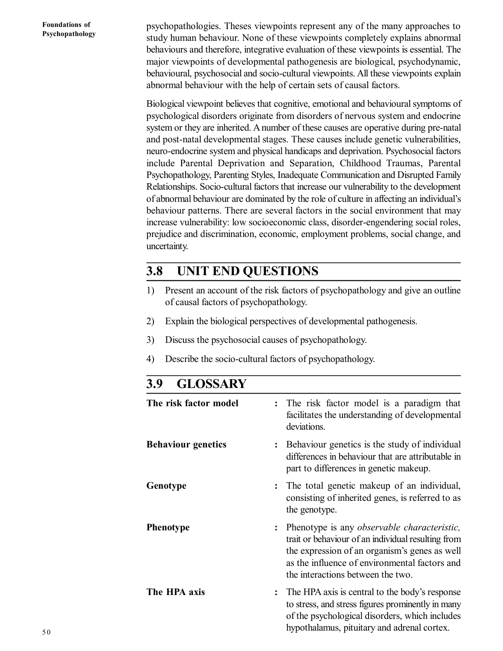psychopathologies. Theses viewpoints represent any of the many approaches to study human behaviour. None of these viewpoints completely explains abnormal behaviours and therefore, integrative evaluation of these viewpoints is essential. The major viewpoints of developmental pathogenesis are biological, psychodynamic, behavioural, psychosocial and socio-cultural viewpoints. All these viewpoints explain abnormal behaviour with the help of certain sets of causal factors.

Biological viewpoint believes that cognitive, emotional and behavioural symptoms of psychological disorders originate from disorders of nervous system and endocrine system or they are inherited. A number of these causes are operative during pre-natal and post-natal developmental stages. These causes include genetic vulnerabilities, neuro-endocrine system and physical handicaps and deprivation. Psychosocial factors include Parental Deprivation and Separation, Childhood Traumas, Parental Psychopathology, Parenting Styles, Inadequate Communication and Disrupted Family Relationships. Socio-cultural factors that increase our vulnerability to the development of abnormal behaviour are dominated by the role of culture in affecting an individual's behaviour patterns. There are several factors in the social environment that may increase vulnerability: low socioeconomic class, disorder-engendering social roles, prejudice and discrimination, economic, employment problems, social change, and uncertainty.

## **3.8 UNIT END QUESTIONS**

- 1) Present an account of the risk factors of psychopathology and give an outline of causal factors of psychopathology.
- 2) Explain the biological perspectives of developmental pathogenesis.
- 3) Discuss the psychosocial causes of psychopathology.
- 4) Describe the socio-cultural factors of psychopathology.

### **3.9 GLOSSARY**

| The risk factor model     | The risk factor model is a paradigm that<br>$\ddot{\cdot}$<br>facilitates the understanding of developmental<br>deviations.                                                                                                                        |
|---------------------------|----------------------------------------------------------------------------------------------------------------------------------------------------------------------------------------------------------------------------------------------------|
| <b>Behaviour genetics</b> | Behaviour genetics is the study of individual<br>$\ddot{\cdot}$<br>differences in behaviour that are attributable in<br>part to differences in genetic makeup.                                                                                     |
| Genotype                  | : The total genetic makeup of an individual,<br>consisting of inherited genes, is referred to as<br>the genotype.                                                                                                                                  |
| <b>Phenotype</b>          | : Phenotype is any <i>observable characteristic</i> ,<br>trait or behaviour of an individual resulting from<br>the expression of an organism's genes as well<br>as the influence of environmental factors and<br>the interactions between the two. |
| The HPA axis              | The HPA axis is central to the body's response<br>$\ddot{\cdot}$<br>to stress, and stress figures prominently in many<br>of the psychological disorders, which includes<br>hypothalamus, pituitary and adrenal cortex.                             |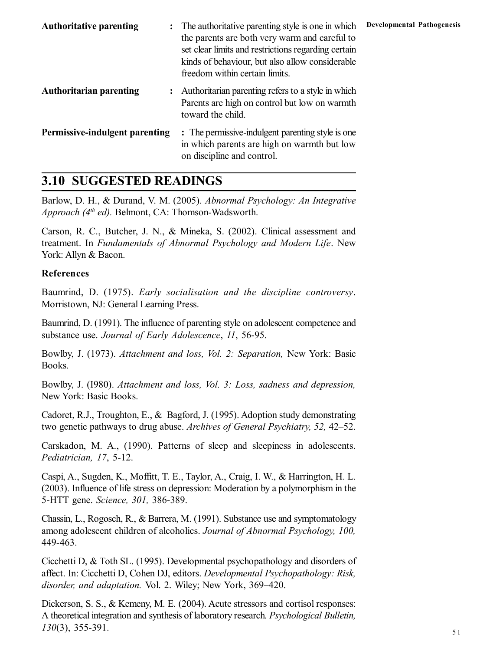| <b>Authoritative parenting</b> | : The authoritative parenting style is one in which<br>the parents are both very warm and careful to<br>set clear limits and restrictions regarding certain<br>kinds of behaviour, but also allow considerable<br>freedom within certain limits. | <b>Developmental Pathogenesis</b> |
|--------------------------------|--------------------------------------------------------------------------------------------------------------------------------------------------------------------------------------------------------------------------------------------------|-----------------------------------|
| <b>Authoritarian parenting</b> | Authoritarian parenting refers to a style in which<br>Parents are high on control but low on warmth<br>toward the child.                                                                                                                         |                                   |
| Permissive-indulgent parenting | : The permissive-indulgent parenting style is one<br>in which parents are high on warmth but low<br>on discipline and control.                                                                                                                   |                                   |

## **3.10 SUGGESTED READINGS**

Barlow, D. H., & Durand, V. M. (2005). *Abnormal Psychology: An Integrative Approach (4th ed).* Belmont, CA: Thomson-Wadsworth.

Carson, R. C., Butcher, J. N., & Mineka, S. (2002). Clinical assessment and treatment. In *Fundamentals of Abnormal Psychology and Modern Life*. New York: Allyn & Bacon.

#### **References**

Baumrind, D. (1975). *Early socialisation and the discipline controversy*. Morristown, NJ: General Learning Press.

Baumrind, D. (1991). The influence of parenting style on adolescent competence and substance use. *Journal of Early Adolescence*, *11*, 56-95.

Bowlby, J. (1973). *Attachment and loss, Vol. 2: Separation,* New York: Basic Books.

Bowlby, J. (I980). *Attachment and loss, Vol. 3: Loss, sadness and depression,* New York: Basic Books.

Cadoret, R.J., Troughton, E., & Bagford, J. (1995). Adoption study demonstrating two genetic pathways to drug abuse. *Archives of General Psychiatry, 52,* 42–52.

Carskadon, M. A., (1990). Patterns of sleep and sleepiness in adolescents. *Pediatrician, 17*, 5-12.

Caspi, A., Sugden, K., Moffitt, T. E., Taylor, A., Craig, I. W., & Harrington, H. L. (2003). Influence of life stress on depression: Moderation by a polymorphism in the 5-HTT gene. *Science, 301,* 386-389.

Chassin, L., Rogosch, R., & Barrera, M. (1991). Substance use and symptomatology among adolescent children of alcoholics. *Journal of Abnormal Psychology, 100,* 449-463.

Cicchetti D, & Toth SL. (1995). Developmental psychopathology and disorders of affect. In: Cicchetti D, Cohen DJ, editors. *Developmental Psychopathology: Risk, disorder, and adaptation.* Vol. 2. Wiley; New York, 369–420.

Dickerson, S. S., & Kemeny, M. E. (2004). Acute stressors and cortisol responses: A theoretical integration and synthesis of laboratory research. *Psychological Bulletin, 130*(3), 355-391.